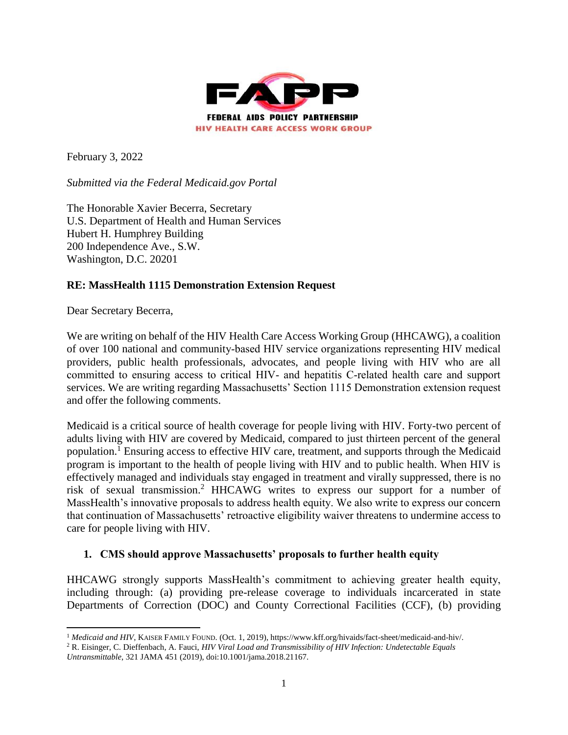

February 3, 2022

*Submitted via the Federal Medicaid.gov Portal*

The Honorable Xavier Becerra, Secretary U.S. Department of Health and Human Services Hubert H. Humphrey Building 200 Independence Ave., S.W. Washington, D.C. 20201

## **RE: MassHealth 1115 Demonstration Extension Request**

Dear Secretary Becerra,

We are writing on behalf of the HIV Health Care Access Working Group (HHCAWG), a coalition of over 100 national and community‐based HIV service organizations representing HIV medical providers, public health professionals, advocates, and people living with HIV who are all committed to ensuring access to critical HIV‐ and hepatitis C‐related health care and support services. We are writing regarding Massachusetts' Section 1115 Demonstration extension request and offer the following comments.

Medicaid is a critical source of health coverage for people living with HIV. Forty-two percent of adults living with HIV are covered by Medicaid, compared to just thirteen percent of the general population.<sup>1</sup> Ensuring access to effective HIV care, treatment, and supports through the Medicaid program is important to the health of people living with HIV and to public health. When HIV is effectively managed and individuals stay engaged in treatment and virally suppressed, there is no risk of sexual transmission.<sup>2</sup> HHCAWG writes to express our support for a number of MassHealth's innovative proposals to address health equity. We also write to express our concern that continuation of Massachusetts' retroactive eligibility waiver threatens to undermine access to care for people living with HIV.

## **1. CMS should approve Massachusetts' proposals to further health equity**

HHCAWG strongly supports MassHealth's commitment to achieving greater health equity, including through: (a) providing pre-release coverage to individuals incarcerated in state Departments of Correction (DOC) and County Correctional Facilities (CCF), (b) providing

 $\overline{a}$ <sup>1</sup> *Medicaid and HIV*, KAISER FAMILY FOUND. (Oct. 1, 2019), https://www.kff.org/hivaids/fact-sheet/medicaid-and-hiv/.

<sup>2</sup> R. Eisinger, C. Dieffenbach, A. Fauci, *HIV Viral Load and Transmissibility of HIV Infection: Undetectable Equals* 

*Untransmittable*, 321 JAMA 451 (2019), doi:10.1001/jama.2018.21167.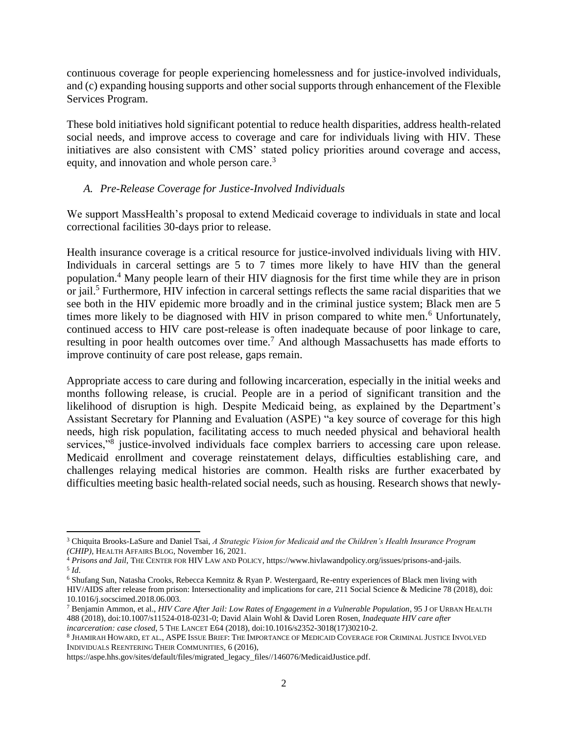continuous coverage for people experiencing homelessness and for justice-involved individuals, and (c) expanding housing supports and other social supports through enhancement of the Flexible Services Program.

These bold initiatives hold significant potential to reduce health disparities, address health-related social needs, and improve access to coverage and care for individuals living with HIV. These initiatives are also consistent with CMS' stated policy priorities around coverage and access, equity, and innovation and whole person care.<sup>3</sup>

## *A. Pre-Release Coverage for Justice-Involved Individuals*

We support MassHealth's proposal to extend Medicaid coverage to individuals in state and local correctional facilities 30-days prior to release.

Health insurance coverage is a critical resource for justice-involved individuals living with HIV. Individuals in carceral settings are 5 to 7 times more likely to have HIV than the general population.<sup>4</sup> Many people learn of their HIV diagnosis for the first time while they are in prison or jail.<sup>5</sup> Furthermore, HIV infection in carceral settings reflects the same racial disparities that we see both in the HIV epidemic more broadly and in the criminal justice system; Black men are 5 times more likely to be diagnosed with HIV in prison compared to white men.<sup>6</sup> Unfortunately, continued access to HIV care post-release is often inadequate because of poor linkage to care, resulting in poor health outcomes over time.<sup>7</sup> And although Massachusetts has made efforts to improve continuity of care post release, gaps remain.

Appropriate access to care during and following incarceration, especially in the initial weeks and months following release, is crucial. People are in a period of significant transition and the likelihood of disruption is high. Despite Medicaid being, as explained by the Department's Assistant Secretary for Planning and Evaluation (ASPE) "a key source of coverage for this high needs, high risk population, facilitating access to much needed physical and behavioral health services,"<sup>8</sup> justice-involved individuals face complex barriers to accessing care upon release. Medicaid enrollment and coverage reinstatement delays, difficulties establishing care, and challenges relaying medical histories are common. Health risks are further exacerbated by difficulties meeting basic health-related social needs, such as housing. Research shows that newly-

l

<sup>3</sup> Chiquita Brooks-LaSure and Daniel Tsai, *A Strategic Vision for Medicaid and the Children's Health Insurance Program (CHIP)*, HEALTH AFFAIRS BLOG, November 16, 2021.

<sup>4</sup> *Prisons and Jail*, THE CENTER FOR HIV LAW AND POLICY, https://www.hivlawandpolicy.org/issues/prisons-and-jails. 5 *Id*.

<sup>6</sup> Shufang Sun, Natasha Crooks, Rebecca Kemnitz & Ryan P. Westergaard, Re-entry experiences of Black men living with HIV/AIDS after release from prison: Intersectionality and implications for care, 211 Social Science & Medicine 78 (2018), doi: 10.1016/j.socscimed.2018.06.003.

<sup>7</sup> Benjamin Ammon, et al., *HIV Care After Jail: Low Rates of Engagement in a Vulnerable Population*, 95 J OF URBAN HEALTH 488 (2018), doi:10.1007/s11524-018-0231-0; David Alain Wohl & David Loren Rosen, *Inadequate HIV care after incarceration: case closed*, 5 THE LANCET E64 (2018), doi:10.1016/s2352-3018(17)30210-2.

<sup>8</sup> JHAMIRAH HOWARD, ET AL., ASPE ISSUE BRIEF: THE IMPORTANCE OF MEDICAID COVERAGE FOR CRIMINAL JUSTICE INVOLVED INDIVIDUALS REENTERING THEIR COMMUNITIES, 6 (2016),

https://aspe.hhs.gov/sites/default/files/migrated\_legacy\_files//146076/MedicaidJustice.pdf.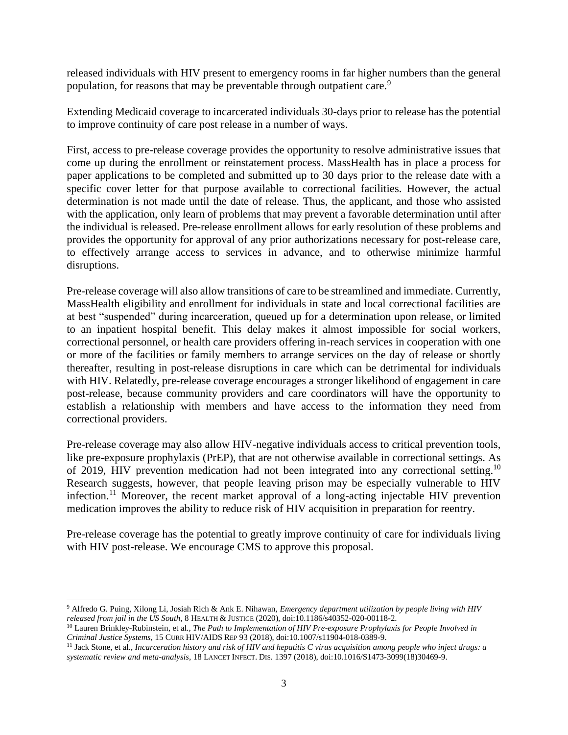released individuals with HIV present to emergency rooms in far higher numbers than the general population, for reasons that may be preventable through outpatient care.<sup>9</sup>

Extending Medicaid coverage to incarcerated individuals 30-days prior to release has the potential to improve continuity of care post release in a number of ways.

First, access to pre-release coverage provides the opportunity to resolve administrative issues that come up during the enrollment or reinstatement process. MassHealth has in place a process for paper applications to be completed and submitted up to 30 days prior to the release date with a specific cover letter for that purpose available to correctional facilities. However, the actual determination is not made until the date of release. Thus, the applicant, and those who assisted with the application, only learn of problems that may prevent a favorable determination until after the individual is released. Pre-release enrollment allows for early resolution of these problems and provides the opportunity for approval of any prior authorizations necessary for post-release care, to effectively arrange access to services in advance, and to otherwise minimize harmful disruptions.

Pre-release coverage will also allow transitions of care to be streamlined and immediate. Currently, MassHealth eligibility and enrollment for individuals in state and local correctional facilities are at best "suspended" during incarceration, queued up for a determination upon release, or limited to an inpatient hospital benefit. This delay makes it almost impossible for social workers, correctional personnel, or health care providers offering in-reach services in cooperation with one or more of the facilities or family members to arrange services on the day of release or shortly thereafter, resulting in post-release disruptions in care which can be detrimental for individuals with HIV. Relatedly, pre-release coverage encourages a stronger likelihood of engagement in care post-release, because community providers and care coordinators will have the opportunity to establish a relationship with members and have access to the information they need from correctional providers.

Pre-release coverage may also allow HIV-negative individuals access to critical prevention tools, like pre-exposure prophylaxis (PrEP), that are not otherwise available in correctional settings. As of 2019, HIV prevention medication had not been integrated into any correctional setting.<sup>10</sup> Research suggests, however, that people leaving prison may be especially vulnerable to HIV infection.<sup>11</sup> Moreover, the recent market approval of a long-acting injectable HIV prevention medication improves the ability to reduce risk of HIV acquisition in preparation for reentry.

Pre-release coverage has the potential to greatly improve continuity of care for individuals living with HIV post-release. We encourage CMS to approve this proposal.

 $\overline{\phantom{a}}$ 

<sup>9</sup> Alfredo G. Puing, Xilong Li, Josiah Rich & Ank E. Nihawan, *Emergency department utilization by people living with HIV released from jail in the US South*, 8 HEALTH & JUSTICE (2020), doi:10.1186/s40352-020-00118-2.

<sup>10</sup> Lauren Brinkley-Rubinstein, et al*., The Path to Implementation of HIV Pre-exposure Prophylaxis for People Involved in Criminal Justice Systems*, 15 CURR HIV/AIDS REP 93 (2018), doi:10.1007/s11904-018-0389-9.

<sup>11</sup> Jack Stone, et al., *Incarceration history and risk of HIV and hepatitis C virus acquisition among people who inject drugs: a systematic review and meta-analysis*, 18 LANCET INFECT. DIS. 1397 (2018), doi:10.1016/S1473-3099(18)30469-9.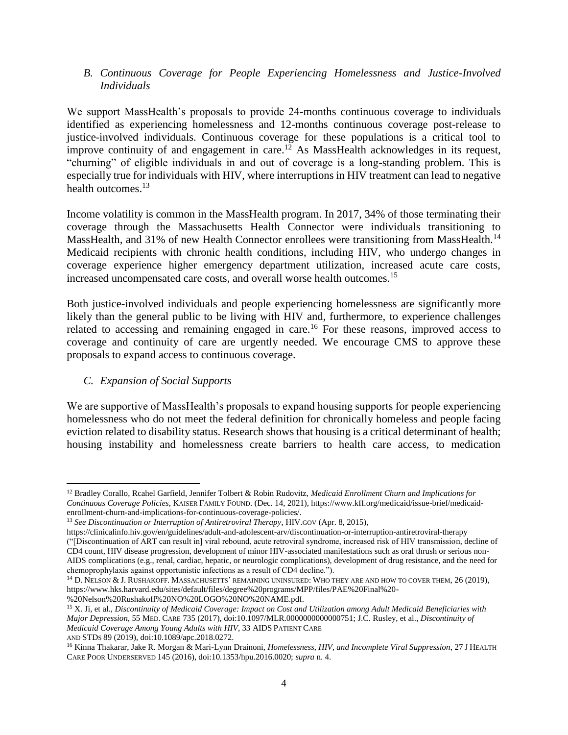## *B. Continuous Coverage for People Experiencing Homelessness and Justice-Involved Individuals*

We support MassHealth's proposals to provide 24-months continuous coverage to individuals identified as experiencing homelessness and 12-months continuous coverage post-release to justice-involved individuals. Continuous coverage for these populations is a critical tool to improve continuity of and engagement in care.<sup>12</sup> As MassHealth acknowledges in its request, "churning" of eligible individuals in and out of coverage is a long-standing problem. This is especially true for individuals with HIV, where interruptions in HIV treatment can lead to negative health outcomes.<sup>13</sup>

Income volatility is common in the MassHealth program. In 2017, 34% of those terminating their coverage through the Massachusetts Health Connector were individuals transitioning to MassHealth, and 31% of new Health Connector enrollees were transitioning from MassHealth.<sup>14</sup> Medicaid recipients with chronic health conditions, including HIV, who undergo changes in coverage experience higher emergency department utilization, increased acute care costs, increased uncompensated care costs, and overall worse health outcomes.<sup>15</sup>

Both justice-involved individuals and people experiencing homelessness are significantly more likely than the general public to be living with HIV and, furthermore, to experience challenges related to accessing and remaining engaged in care.<sup>16</sup> For these reasons, improved access to coverage and continuity of care are urgently needed. We encourage CMS to approve these proposals to expand access to continuous coverage.

## *C. Expansion of Social Supports*

l

We are supportive of MassHealth's proposals to expand housing supports for people experiencing homelessness who do not meet the federal definition for chronically homeless and people facing eviction related to disability status. Research shows that housing is a critical determinant of health; housing instability and homelessness create barriers to health care access, to medication

<sup>15</sup> X. Ji, et al., *Discontinuity of Medicaid Coverage: Impact on Cost and Utilization among Adult Medicaid Beneficiaries with* 

*Major Depression*, 55 MED. CARE 735 (2017), doi:10.1097/MLR.0000000000000751; J.C. Rusley, et al., *Discontinuity of Medicaid Coverage Among Young Adults with HIV*, 33 AIDS PATIENT CARE

AND STDS 89 (2019), doi:10.1089/apc.2018.0272.

<sup>12</sup> Bradley Corallo, Rcahel Garfield, Jennifer Tolbert & Robin Rudovitz, *Medicaid Enrollment Churn and Implications for Continuous Coverage Policies*, KAISER FAMILY FOUND. (Dec. 14, 2021), https://www.kff.org/medicaid/issue-brief/medicaidenrollment-churn-and-implications-for-continuous-coverage-policies/.

<sup>13</sup> *See Discontinuation or Interruption of Antiretroviral Therapy*, HIV.GOV (Apr. 8, 2015),

https://clinicalinfo.hiv.gov/en/guidelines/adult-and-adolescent-arv/discontinuation-or-interruption-antiretroviral-therapy ("[Discontinuation of ART can result in] viral rebound, acute retroviral syndrome, increased risk of HIV transmission, decline of CD4 count, HIV disease progression, development of minor HIV-associated manifestations such as oral thrush or serious non-AIDS complications (e.g., renal, cardiac, hepatic, or neurologic complications), development of drug resistance, and the need for chemoprophylaxis against opportunistic infections as a result of CD4 decline.").

<sup>&</sup>lt;sup>14</sup> D. NELSON & J. RUSHAKOFF. MASSACHUSETTS' REMAINING UNINSURED: WHO THEY ARE AND HOW TO COVER THEM, 26 (2019), https://www.hks.harvard.edu/sites/default/files/degree%20programs/MPP/files/PAE%20Final%20- %20Nelson%20Rushakoff%20NO%20LOGO%20NO%20NAME.pdf.

<sup>16</sup> Kinna Thakarar, Jake R. Morgan & Mari-Lynn Drainoni, *Homelessness, HIV, and Incomplete Viral Suppression*, 27 J HEALTH CARE POOR UNDERSERVED 145 (2016), doi:10.1353/hpu.2016.0020; *supra* n. 4.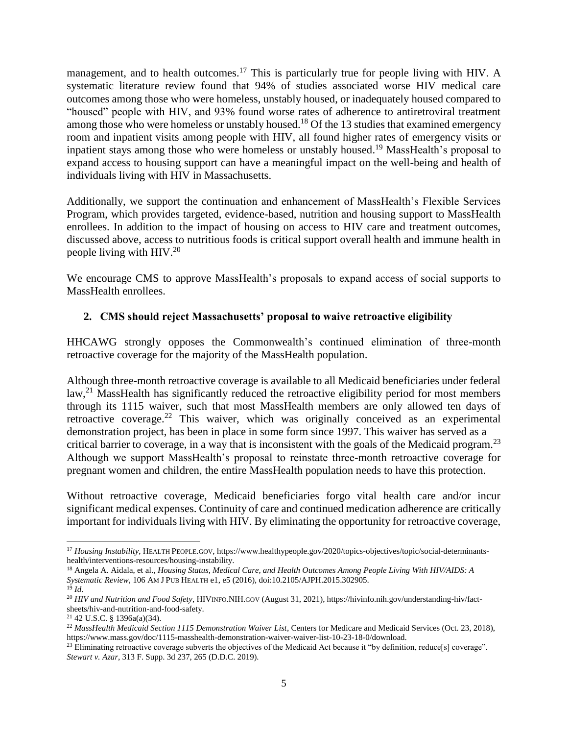management, and to health outcomes.<sup>17</sup> This is particularly true for people living with HIV. A systematic literature review found that 94% of studies associated worse HIV medical care outcomes among those who were homeless, unstably housed, or inadequately housed compared to "housed" people with HIV, and 93% found worse rates of adherence to antiretroviral treatment among those who were homeless or unstably housed.<sup>18</sup> Of the 13 studies that examined emergency room and inpatient visits among people with HIV, all found higher rates of emergency visits or inpatient stays among those who were homeless or unstably housed.<sup>19</sup> MassHealth's proposal to expand access to housing support can have a meaningful impact on the well-being and health of individuals living with HIV in Massachusetts.

Additionally, we support the continuation and enhancement of MassHealth's Flexible Services Program, which provides targeted, evidence-based, nutrition and housing support to MassHealth enrollees. In addition to the impact of housing on access to HIV care and treatment outcomes, discussed above, access to nutritious foods is critical support overall health and immune health in people living with HIV.<sup>20</sup>

We encourage CMS to approve MassHealth's proposals to expand access of social supports to MassHealth enrollees.

# **2. CMS should reject Massachusetts' proposal to waive retroactive eligibility**

HHCAWG strongly opposes the Commonwealth's continued elimination of three-month retroactive coverage for the majority of the MassHealth population.

Although three-month retroactive coverage is available to all Medicaid beneficiaries under federal law,<sup>21</sup> MassHealth has significantly reduced the retroactive eligibility period for most members through its 1115 waiver, such that most MassHealth members are only allowed ten days of retroactive coverage.<sup>22</sup> This waiver, which was originally conceived as an experimental demonstration project, has been in place in some form since 1997. This waiver has served as a critical barrier to coverage, in a way that is inconsistent with the goals of the Medicaid program.<sup>23</sup> Although we support MassHealth's proposal to reinstate three-month retroactive coverage for pregnant women and children, the entire MassHealth population needs to have this protection.

Without retroactive coverage, Medicaid beneficiaries forgo vital health care and/or incur significant medical expenses. Continuity of care and continued medication adherence are critically important for individuals living with HIV. By eliminating the opportunity for retroactive coverage,

 $\overline{\phantom{a}}$ <sup>17</sup> *Housing Instability*, HEALTH PEOPLE.GOV, https://www.healthypeople.gov/2020/topics-objectives/topic/social-determinantshealth/interventions-resources/housing-instability.

<sup>18</sup> Angela A. Aidala, et al., *Housing Status, Medical Care, and Health Outcomes Among People Living With HIV/AIDS: A Systematic Review*, 106 AM J PUB HEALTH e1, e5 (2016), doi:10.2105/AJPH.2015.302905.

 $19$  *Id.* 

<sup>20</sup> *HIV and Nutrition and Food Safety*, HIVINFO.NIH.GOV (August 31, 2021), https://hivinfo.nih.gov/understanding-hiv/factsheets/hiv-and-nutrition-and-food-safety.

<sup>21</sup> 42 U.S.C. § 1396a(a)(34).

<sup>&</sup>lt;sup>22</sup> MassHealth Medicaid Section 1115 Demonstration Waiver List, Centers for Medicare and Medicaid Services (Oct. 23, 2018), https://www.mass.gov/doc/1115-masshealth-demonstration-waiver-waiver-list-10-23-18-0/download.

<sup>&</sup>lt;sup>23</sup> Eliminating retroactive coverage subverts the objectives of the Medicaid Act because it "by definition, reduce[s] coverage". *Stewart v. Azar*, 313 F. Supp. 3d 237, 265 (D.D.C. 2019).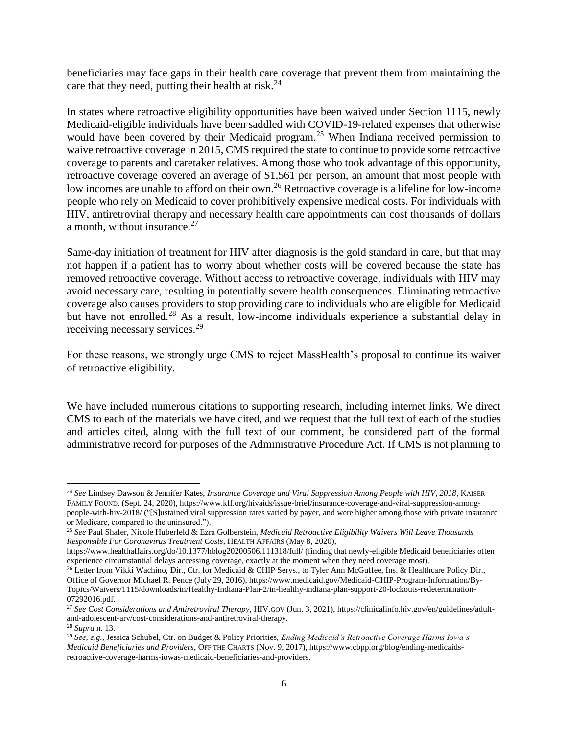beneficiaries may face gaps in their health care coverage that prevent them from maintaining the care that they need, putting their health at risk. $24$ 

In states where retroactive eligibility opportunities have been waived under Section 1115, newly Medicaid-eligible individuals have been saddled with COVID-19-related expenses that otherwise would have been covered by their Medicaid program.<sup>25</sup> When Indiana received permission to waive retroactive coverage in 2015, CMS required the state to continue to provide some retroactive coverage to parents and caretaker relatives. Among those who took advantage of this opportunity, retroactive coverage covered an average of \$1,561 per person, an amount that most people with low incomes are unable to afford on their own.<sup>26</sup> Retroactive coverage is a lifeline for low-income people who rely on Medicaid to cover prohibitively expensive medical costs. For individuals with HIV, antiretroviral therapy and necessary health care appointments can cost thousands of dollars a month, without insurance. $27$ 

Same-day initiation of treatment for HIV after diagnosis is the gold standard in care, but that may not happen if a patient has to worry about whether costs will be covered because the state has removed retroactive coverage. Without access to retroactive coverage, individuals with HIV may avoid necessary care, resulting in potentially severe health consequences. Eliminating retroactive coverage also causes providers to stop providing care to individuals who are eligible for Medicaid but have not enrolled.<sup>28</sup> As a result, low-income individuals experience a substantial delay in receiving necessary services.<sup>29</sup>

For these reasons, we strongly urge CMS to reject MassHealth's proposal to continue its waiver of retroactive eligibility.

We have included numerous citations to supporting research, including internet links. We direct CMS to each of the materials we have cited, and we request that the full text of each of the studies and articles cited, along with the full text of our comment, be considered part of the formal administrative record for purposes of the Administrative Procedure Act. If CMS is not planning to

l

<sup>24</sup> *See* Lindsey Dawson & Jennifer Kates, *Insurance Coverage and Viral Suppression Among People with HIV, 2018*, KAISER FAMILY FOUND. (Sept. 24, 2020), https://www.kff.org/hivaids/issue-brief/insurance-coverage-and-viral-suppression-amongpeople-with-hiv-2018/ ("[S]ustained viral suppression rates varied by payer, and were higher among those with private insurance or Medicare, compared to the uninsured.").

<sup>25</sup> *See* Paul Shafer, Nicole Huberfeld & Ezra Golberstein, *Medicaid Retroactive Eligibility Waivers Will Leave Thousands Responsible For Coronavirus Treatment Costs*, HEALTH AFFAIRS (May 8, 2020),

https://www.healthaffairs.org/do/10.1377/hblog20200506.111318/full/ (finding that newly-eligible Medicaid beneficiaries often experience circumstantial delays accessing coverage, exactly at the moment when they need coverage most).

<sup>&</sup>lt;sup>26</sup> Letter from Vikki Wachino, Dir., Ctr. for Medicaid & CHIP Servs., to Tyler Ann McGuffee, Ins. & Healthcare Policy Dir., Office of Governor Michael R. Pence (July 29, 2016), https://www.medicaid.gov/Medicaid-CHIP-Program-Information/By-Topics/Waivers/1115/downloads/in/Healthy-Indiana-Plan-2/in-healthy-indiana-plan-support-20-lockouts-redetermination-07292016.pdf.

<sup>27</sup> *See Cost Considerations and Antiretroviral Therapy*, HIV.GOV (Jun. 3, 2021), https://clinicalinfo.hiv.gov/en/guidelines/adultand-adolescent-arv/cost-considerations-and-antiretroviral-therapy. <sup>28</sup> *Supra* n. 13.

<sup>29</sup> *See, e.g.,* Jessica Schubel, Ctr. on Budget & Policy Priorities, *Ending Medicaid's Retroactive Coverage Harms Iowa's Medicaid Beneficiaries and Providers*, OFF THE CHARTS (Nov. 9, 2017), https://www.cbpp.org/blog/ending-medicaidsretroactive-coverage-harms-iowas-medicaid-beneficiaries-and-providers.